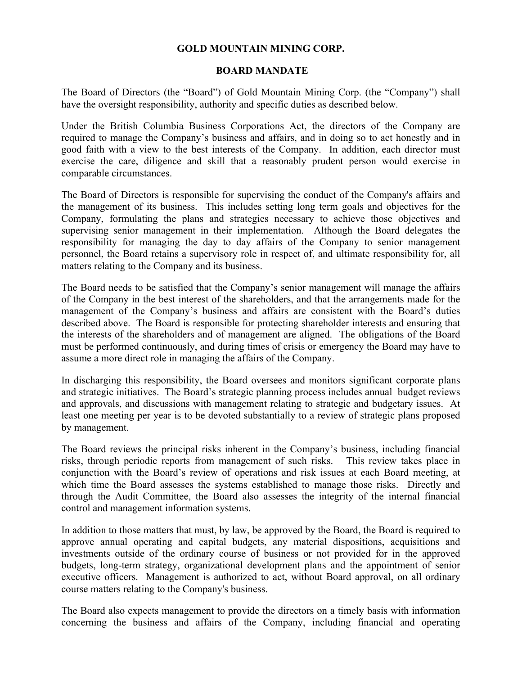## **GOLD MOUNTAIN MINING CORP.**

### **BOARD MANDATE**

The Board of Directors (the "Board") of Gold Mountain Mining Corp. (the "Company") shall have the oversight responsibility, authority and specific duties as described below.

Under the British Columbia Business Corporations Act, the directors of the Company are required to manage the Company's business and affairs, and in doing so to act honestly and in good faith with a view to the best interests of the Company. In addition, each director must exercise the care, diligence and skill that a reasonably prudent person would exercise in comparable circumstances.

The Board of Directors is responsible for supervising the conduct of the Company's affairs and the management of its business. This includes setting long term goals and objectives for the Company, formulating the plans and strategies necessary to achieve those objectives and supervising senior management in their implementation. Although the Board delegates the responsibility for managing the day to day affairs of the Company to senior management personnel, the Board retains a supervisory role in respect of, and ultimate responsibility for, all matters relating to the Company and its business.

The Board needs to be satisfied that the Company's senior management will manage the affairs of the Company in the best interest of the shareholders, and that the arrangements made for the management of the Company's business and affairs are consistent with the Board's duties described above. The Board is responsible for protecting shareholder interests and ensuring that the interests of the shareholders and of management are aligned. The obligations of the Board must be performed continuously, and during times of crisis or emergency the Board may have to assume a more direct role in managing the affairs of the Company.

In discharging this responsibility, the Board oversees and monitors significant corporate plans and strategic initiatives. The Board's strategic planning process includes annual budget reviews and approvals, and discussions with management relating to strategic and budgetary issues. At least one meeting per year is to be devoted substantially to a review of strategic plans proposed by management.

The Board reviews the principal risks inherent in the Company's business, including financial risks, through periodic reports from management of such risks. This review takes place in conjunction with the Board's review of operations and risk issues at each Board meeting, at which time the Board assesses the systems established to manage those risks. Directly and through the Audit Committee, the Board also assesses the integrity of the internal financial control and management information systems.

In addition to those matters that must, by law, be approved by the Board, the Board is required to approve annual operating and capital budgets, any material dispositions, acquisitions and investments outside of the ordinary course of business or not provided for in the approved budgets, long-term strategy, organizational development plans and the appointment of senior executive officers. Management is authorized to act, without Board approval, on all ordinary course matters relating to the Company's business.

The Board also expects management to provide the directors on a timely basis with information concerning the business and affairs of the Company, including financial and operating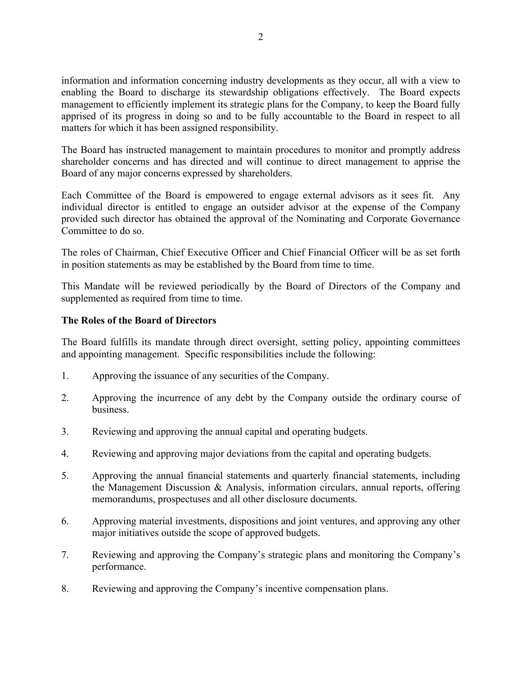information and information concerning industry developments as they occur, all with a view to enabling the Board to discharge its stewardship obligations effectively. The Board expects management to efficiently implement its strategic plans for the Company, to keep the Board fully apprised of its progress in doing so and to be fully accountable to the Board in respect to all matters for which it has been assigned responsibility.

The Board has instructed management to maintain procedures to monitor and promptly address shareholder concerns and has directed and will continue to direct management to apprise the Board of any major concerns expressed by shareholders.

Each Committee of the Board is empowered to engage external advisors as it sees fit. Any individual director is entitled to engage an outsider advisor at the expense of the Company provided such director has obtained the approval of the Nominating and Corporate Governance Committee to do so.

The roles of Chairman, Chief Executive Officer and Chief Financial Officer will be as set forth in position statements as may be established by the Board from time to time.

This Mandate will be reviewed periodically by the Board of Directors of the Company and supplemented as required from time to time.

# **The Roles of the Board of Directors**

The Board fulfills its mandate through direct oversight, setting policy, appointing committees and appointing management. Specific responsibilities include the following:

- 1. Approving the issuance of any securities of the Company.
- 2. Approving the incurrence of any debt by the Company outside the ordinary course of business.
- 3. Reviewing and approving the annual capital and operating budgets.
- 4. Reviewing and approving major deviations from the capital and operating budgets.
- 5. Approving the annual financial statements and quarterly financial statements, including the Management Discussion & Analysis, information circulars, annual reports, offering memorandums, prospectuses and all other disclosure documents.
- 6. Approving material investments, dispositions and joint ventures, and approving any other major initiatives outside the scope of approved budgets.
- 7. Reviewing and approving the Company's strategic plans and monitoring the Company's performance.
- 8. Reviewing and approving the Company's incentive compensation plans.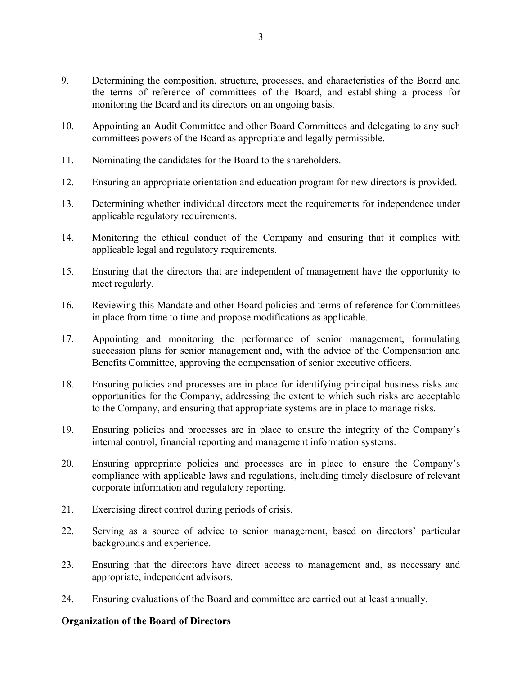- 9. Determining the composition, structure, processes, and characteristics of the Board and the terms of reference of committees of the Board, and establishing a process for monitoring the Board and its directors on an ongoing basis.
- 10. Appointing an Audit Committee and other Board Committees and delegating to any such committees powers of the Board as appropriate and legally permissible.
- 11. Nominating the candidates for the Board to the shareholders.
- 12. Ensuring an appropriate orientation and education program for new directors is provided.
- 13. Determining whether individual directors meet the requirements for independence under applicable regulatory requirements.
- 14. Monitoring the ethical conduct of the Company and ensuring that it complies with applicable legal and regulatory requirements.
- 15. Ensuring that the directors that are independent of management have the opportunity to meet regularly.
- 16. Reviewing this Mandate and other Board policies and terms of reference for Committees in place from time to time and propose modifications as applicable.
- 17. Appointing and monitoring the performance of senior management, formulating succession plans for senior management and, with the advice of the Compensation and Benefits Committee, approving the compensation of senior executive officers.
- 18. Ensuring policies and processes are in place for identifying principal business risks and opportunities for the Company, addressing the extent to which such risks are acceptable to the Company, and ensuring that appropriate systems are in place to manage risks.
- 19. Ensuring policies and processes are in place to ensure the integrity of the Company's internal control, financial reporting and management information systems.
- 20. Ensuring appropriate policies and processes are in place to ensure the Company's compliance with applicable laws and regulations, including timely disclosure of relevant corporate information and regulatory reporting.
- 21. Exercising direct control during periods of crisis.
- 22. Serving as a source of advice to senior management, based on directors' particular backgrounds and experience.
- 23. Ensuring that the directors have direct access to management and, as necessary and appropriate, independent advisors.
- 24. Ensuring evaluations of the Board and committee are carried out at least annually.

## **Organization of the Board of Directors**